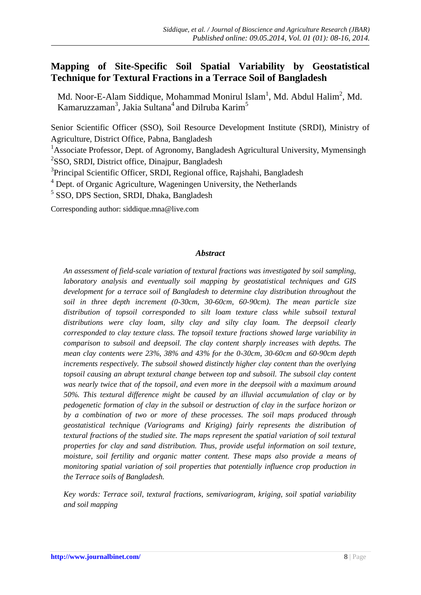# **Mapping of Site-Specific Soil Spatial Variability by Geostatistical Technique for Textural Fractions in a Terrace Soil of Bangladesh**

Md. Noor-E-Alam Siddique, Mohammad Monirul Islam<sup>1</sup>, Md. Abdul Halim<sup>2</sup>, Md. Kamaruzzaman<sup>3</sup>, Jakia Sultana<sup>4</sup> and Dilruba Karim<sup>5</sup>

Senior Scientific Officer (SSO), Soil Resource Development Institute (SRDI), Ministry of Agriculture, District Office, Pabna, Bangladesh

<sup>1</sup>Associate Professor, Dept. of Agronomy, Bangladesh Agricultural University, Mymensingh <sup>2</sup>SSO, SRDI, District office, Dinajpur, Bangladesh

<sup>3</sup>Principal Scientific Officer, SRDI, Regional office, Rajshahi, Bangladesh

 $4$  Dept. of Organic Agriculture, Wageningen University, the Netherlands

<sup>5</sup> SSO, DPS Section, SRDI, Dhaka, Bangladesh

Corresponding author: [siddique.mna@live.com](mailto:siddique.mna@live.com)

## *Abstract*

*An assessment of field-scale variation of textural fractions was investigated by soil sampling, laboratory analysis and eventually soil mapping by geostatistical techniques and GIS development for a terrace soil of Bangladesh to determine clay distribution throughout the soil in three depth increment (0-30cm, 30-60cm, 60-90cm). The mean particle size distribution of topsoil corresponded to silt loam texture class while subsoil textural distributions were clay loam, silty clay and silty clay loam. The deepsoil clearly corresponded to clay texture class. The topsoil texture fractions showed large variability in comparison to subsoil and deepsoil. The clay content sharply increases with depths. The mean clay contents were 23%, 38% and 43% for the 0-30cm, 30-60cm and 60-90cm depth increments respectively. The subsoil showed distinctly higher clay content than the overlying topsoil causing an abrupt textural change between top and subsoil. The subsoil clay content was nearly twice that of the topsoil, and even more in the deepsoil with a maximum around 50%. This textural difference might be caused by an illuvial accumulation of clay or by pedogenetic formation of clay in the subsoil or destruction of clay in the surface horizon or by a combination of two or more of these processes. The soil maps produced through geostatistical technique (Variograms and Kriging) fairly represents the distribution of textural fractions of the studied site. The maps represent the spatial variation of soil textural properties for clay and sand distribution. Thus, provide useful information on soil texture, moisture, soil fertility and organic matter content. These maps also provide a means of monitoring spatial variation of soil properties that potentially influence crop production in the Terrace soils of Bangladesh.*

*Key words: Terrace soil, textural fractions, semivariogram, kriging, soil spatial variability and soil mapping*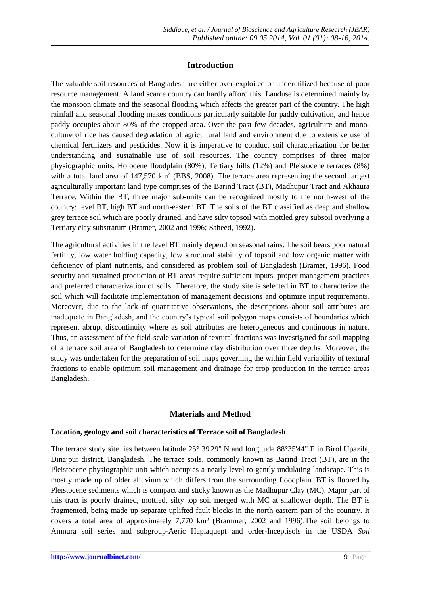# **Introduction**

The valuable soil resources of Bangladesh are either over-exploited or underutilized because of poor resource management. A land scarce country can hardly afford this. Landuse is determined mainly by the monsoon climate and the seasonal flooding which affects the greater part of the country. The high rainfall and seasonal flooding makes conditions particularly suitable for paddy cultivation, and hence paddy occupies about 80% of the cropped area. Over the past few decades, agriculture and monoculture of rice has caused degradation of agricultural land and environment due to extensive use of chemical fertilizers and pesticides. Now it is imperative to conduct soil characterization for better understanding and sustainable use of soil resources. The country comprises of three major physiographic units, Holocene floodplain (80%), Tertiary hills (12%) and Pleistocene terraces (8%) with a total land area of  $147,570 \text{ km}^2$  (BBS, 2008). The terrace area representing the second largest agriculturally important land type comprises of the Barind Tract (BT), Madhupur Tract and Akhaura Terrace. Within the BT, three major sub-units can be recognized mostly to the north-west of the country: level BT, high BT and north-eastern BT. The soils of the BT classified as deep and shallow grey terrace soil which are poorly drained, and have silty topsoil with mottled grey subsoil overlying a Tertiary clay substratum (Bramer, 2002 and 1996; Saheed, 1992).

The agricultural activities in the level BT mainly depend on seasonal rains. The soil bears poor natural fertility, low water holding capacity, low structural stability of topsoil and low organic matter with deficiency of plant nutrients, and considered as problem soil of Bangladesh (Bramer, 1996). Food security and sustained production of BT areas require sufficient inputs, proper management practices and preferred characterization of soils. Therefore, the study site is selected in BT to characterize the soil which will facilitate implementation of management decisions and optimize input requirements. Moreover, due to the lack of quantitative observations, the descriptions about soil attributes are inadequate in Bangladesh, and the country's typical soil polygon maps consists of boundaries which represent abrupt discontinuity where as soil attributes are heterogeneous and continuous in nature. Thus, an assessment of the field-scale variation of textural fractions was investigated for soil mapping of a terrace soil area of Bangladesh to determine clay distribution over three depths. Moreover, the study was undertaken for the preparation of soil maps governing the within field variability of textural fractions to enable optimum soil management and drainage for crop production in the terrace areas Bangladesh.

# **Materials and Method**

# **Location, geology and soil characteristics of Terrace soil of Bangladesh**

The terrace study site lies between latitude 25° 39'29" N and longitude 88°35'44" E in Birol Upazila, Dinajpur district, Bangladesh. The terrace soils, commonly known as Barind Tract (BT), are in the [Pleistocene](file:///C:\wiki\Pleistocene) [physiographic](file:///C:\wiki\Geomorphology) unit which occupies a nearly level to gently undulating landscape. This is mostly made up of older alluvium which differs from the surrounding [floodplain.](file:///C:\Users\shuvo\Downloads\F_0106.HTM) BT is floored by Pleistocene sediments which is compact and sticky known as the Madhupur Clay (MC). Major part of this tract is poorly drained, mottled, silty top soil merged with MC at shallower depth. The BT is fragmented, being made up separate uplifted fault blocks in the north eastern part of the country. It covers a total area of approximately 7,770 km² (Brammer, 2002 and 1996).The soil belongs to Amnura soil series and subgroup-Aeric Haplaquept and order-Inceptisols in the USDA *Soil*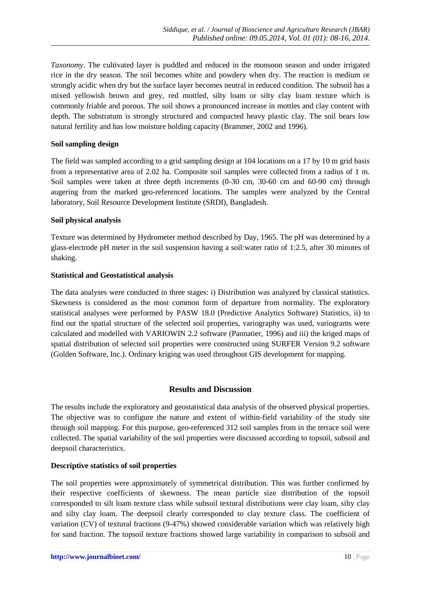*Taxonomy*. The cultivated layer is puddled and reduced in the monsoon season and under irrigated rice in the dry season. The soil becomes white and powdery when dry. The reaction is medium or strongly acidic when dry but the surface layer becomes neutral in reduced condition. The subsoil has a mixed yellowish brown and grey, red mottled, silty loam or silty clay loam texture which is commonly friable and porous. The soil shows a pronounced increase in mottles and clay content with depth. The substratum is strongly structured and compacted heavy plastic clay. The soil bears low natural fertility and has low moisture holding capacity (Brammer, 2002 and 1996).

## **Soil sampling design**

The field was sampled according to a grid sampling design at 104 locations on a 17 by 10 m grid basis from a representative area of 2.02 ha. Composite soil samples were collected from a radius of 1 m. Soil samples were taken at three depth increments (0-30 cm, 30-60 cm and 60-90 cm) through augering from the marked geo-referenced locations. The samples were analyzed by the Central laboratory, Soil Resource Development Institute (SRDI), Bangladesh.

## **Soil physical analysis**

Texture was determined by Hydrometer method described by Day, 1965. The pH was determined by a glass-electrode pH meter in the soil suspension having a soil:water ratio of 1:2.5, after 30 minutes of shaking.

## **Statistical and Geostatistical analysis**

The data analyses were conducted in three stages: i) Distribution was analyzed by classical statistics. Skewness is considered as the most common form of departure from normality. The exploratory statistical analyses were performed by PASW 18.0 (Predictive Analytics Software) Statistics, ii) to find out the spatial structure of the selected soil properties, variography was used, variograms were calculated and modelled with VARIOWIN 2.2 software (Pannatier, 1996) and iii) the kriged maps of spatial distribution of selected soil properties were constructed using SURFER Version 9.2 software (Golden Software, Inc.). Ordinary kriging was used throughout GIS development for mapping.

# **Results and Discussion**

The results include the exploratory and geostatistical data analysis of the observed physical properties. The objective was to configure the nature and extent of within-field variability of the study site through soil mapping. For this purpose, geo-referenced 312 soil samples from in the terrace soil were collected. The spatial variability of the soil properties were discussed according to topsoil, subsoil and deepsoil characteristics.

# **Descriptive statistics of soil properties**

The soil properties were approximately of symmetrical distribution. This was further confirmed by their respective coefficients of skewness. The mean particle size distribution of the topsoil corresponded to silt loam texture class while subsoil textural distributions were clay loam, silty clay and silty clay loam. The deepsoil clearly corresponded to clay texture class. The coefficient of variation (CV) of textural fractions (9-47%) showed considerable variation which was relatively high for sand fraction. The topsoil texture fractions showed large variability in comparison to subsoil and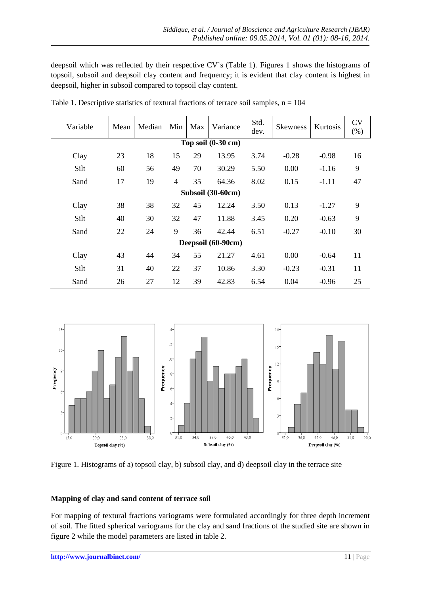deepsoil which was reflected by their respective CV`s (Table 1). Figures 1 shows the histograms of topsoil, subsoil and deepsoil clay content and frequency; it is evident that clay content is highest in deepsoil, higher in subsoil compared to topsoil clay content.

| Variable                | Mean | Median | Min | Max | Variance | Std.<br>dev. | <b>Skewness</b> | <b>Kurtosis</b> | <b>CV</b><br>$(\%)$ |  |  |  |
|-------------------------|------|--------|-----|-----|----------|--------------|-----------------|-----------------|---------------------|--|--|--|
| Top soil $(0-30$ cm $)$ |      |        |     |     |          |              |                 |                 |                     |  |  |  |
| Clay                    | 23   | 18     | 15  | 29  | 13.95    | 3.74         | $-0.28$         | $-0.98$         | 16                  |  |  |  |
| Silt                    | 60   | 56     | 49  | 70  | 30.29    | 5.50         | 0.00            | $-1.16$         | 9                   |  |  |  |
| Sand                    | 17   | 19     | 4   | 35  | 64.36    | 8.02         | 0.15            | $-1.11$         | 47                  |  |  |  |
| Subsoil (30-60cm)       |      |        |     |     |          |              |                 |                 |                     |  |  |  |
| Clay                    | 38   | 38     | 32  | 45  | 12.24    | 3.50         | 0.13            | $-1.27$         | 9                   |  |  |  |
| Silt                    | 40   | 30     | 32  | 47  | 11.88    | 3.45         | 0.20            | $-0.63$         | 9                   |  |  |  |
| Sand                    | 22   | 24     | 9   | 36  | 42.44    | 6.51         | $-0.27$         | $-0.10$         | 30                  |  |  |  |
| Deepsoil (60-90cm)      |      |        |     |     |          |              |                 |                 |                     |  |  |  |
| Clay                    | 43   | 44     | 34  | 55  | 21.27    | 4.61         | 0.00            | $-0.64$         | 11                  |  |  |  |
| Silt                    | 31   | 40     | 22  | 37  | 10.86    | 3.30         | $-0.23$         | $-0.31$         | 11                  |  |  |  |
| Sand                    | 26   | 27     | 12  | 39  | 42.83    | 6.54         | 0.04            | $-0.96$         | 25                  |  |  |  |

Table 1. Descriptive statistics of textural fractions of terrace soil samples,  $n = 104$ 



Figure 1. Histograms of a) topsoil clay, b) subsoil clay, and d) deepsoil clay in the terrace site

#### **Mapping of clay and sand content of terrace soil**

For mapping of textural fractions variograms were formulated accordingly for three depth increment of soil. The fitted spherical variograms for the clay and sand fractions of the studied site are shown in figure 2 while the model parameters are listed in table 2.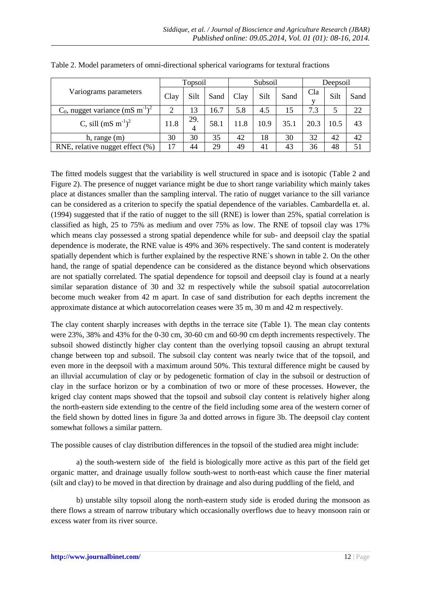|                                                            | Topsoil |          |      | Subsoil |      |      | Deepsoil |      |      |
|------------------------------------------------------------|---------|----------|------|---------|------|------|----------|------|------|
| Variograms parameters                                      | Clay    | Silt     | Sand | Clay    | Silt | Sand | Cla      | Silt | Sand |
| $C_0$ , nugget variance (mS m <sup>-1</sup> ) <sup>2</sup> | 2       | 13       | 16.7 | 5.8     | 4.5  | 15   | 7.3      |      | 22   |
| C, sill $(mS \, m^{-1})^2$                                 | 11.8    | 29.<br>4 | 58.1 | 11.8    | 10.9 | 35.1 | 20.3     | 10.5 | 43   |
| h, range $(m)$                                             | 30      | 30       | 35   | 42      | 18   | 30   | 32       | 42   | 42   |
| RNE, relative nugget effect (%)                            | 17      | 44       | 29   | 49      | 41   | 43   | 36       | 48   | 51   |

Table 2. Model parameters of omni-directional spherical variograms for textural fractions

The fitted models suggest that the variability is well structured in space and is isotopic (Table 2 and Figure 2). The presence of nugget variance might be due to short range variability which mainly takes place at distances smaller than the sampling interval. The ratio of nugget variance to the sill variance can be considered as a criterion to specify the spatial dependence of the variables. Cambardella et. al. (1994) suggested that if the ratio of nugget to the sill (RNE) is lower than 25%, spatial correlation is classified as high, 25 to 75% as medium and over 75% as low. The RNE of topsoil clay was 17% which means clay possessed a strong spatial dependence while for sub- and deepsoil clay the spatial dependence is moderate, the RNE value is 49% and 36% respectively. The sand content is moderately spatially dependent which is further explained by the respective RNE`s shown in table 2. On the other hand, the range of spatial dependence can be considered as the distance beyond which observations are not spatially correlated. The spatial dependence for topsoil and deepsoil clay is found at a nearly similar separation distance of 30 and 32 m respectively while the subsoil spatial autocorrelation become much weaker from 42 m apart. In case of sand distribution for each depths increment the approximate distance at which autocorrelation ceases were 35 m, 30 m and 42 m respectively.

The clay content sharply increases with depths in the terrace site (Table 1). The mean clay contents were 23%, 38% and 43% for the 0-30 cm, 30-60 cm and 60-90 cm depth increments respectively. The subsoil showed distinctly higher clay content than the overlying topsoil causing an abrupt textural change between top and subsoil. The subsoil clay content was nearly twice that of the topsoil, and even more in the deepsoil with a maximum around 50%. This textural difference might be caused by an illuvial accumulation of clay or by pedogenetic formation of clay in the subsoil or destruction of clay in the surface horizon or by a combination of two or more of these processes. However, the kriged clay content maps showed that the topsoil and subsoil clay content is relatively higher along the north-eastern side extending to the centre of the field including some area of the western corner of the field shown by dotted lines in figure 3a and dotted arrows in figure 3b. The deepsoil clay content somewhat follows a similar pattern.

The possible causes of clay distribution differences in the topsoil of the studied area might include:

a) the south-western side of the field is biologically more active as this part of the field get organic matter, and drainage usually follow south-west to north-east which cause the finer material (silt and clay) to be moved in that direction by drainage and also during puddling of the field, and

b) unstable silty topsoil along the north-eastern study side is eroded during the monsoon as there flows a stream of narrow tributary which occasionally overflows due to heavy monsoon rain or excess water from its river source.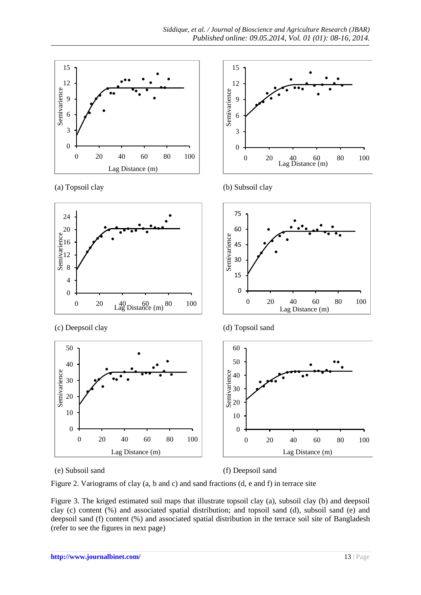





(c) Deepsoil clay (d) Topsoil sand







(e) Subsoil sand (f) Deepsoil sand

Figure 2. Variograms of clay (a, b and c) and sand fractions (d, e and f) in terrace site

Figure 3. The kriged estimated soil maps that illustrate topsoil clay (a), subsoil clay (b) and deepsoil clay (c) content (%) and associated spatial distribution; and topsoil sand (d), subsoil sand (e) and deepsoil sand (f) content (%) and associated spatial distribution in the terrace soil site of Bangladesh (refer to see the figures in next page)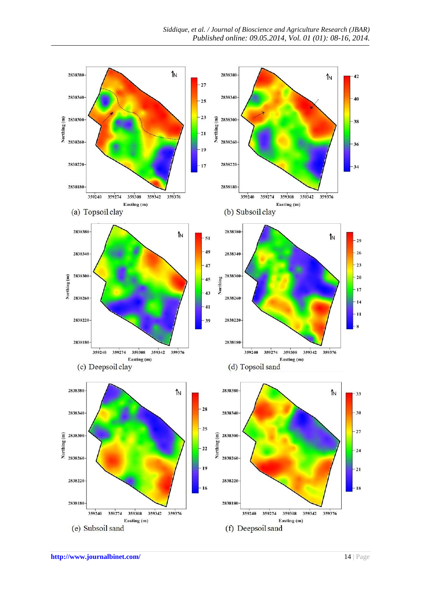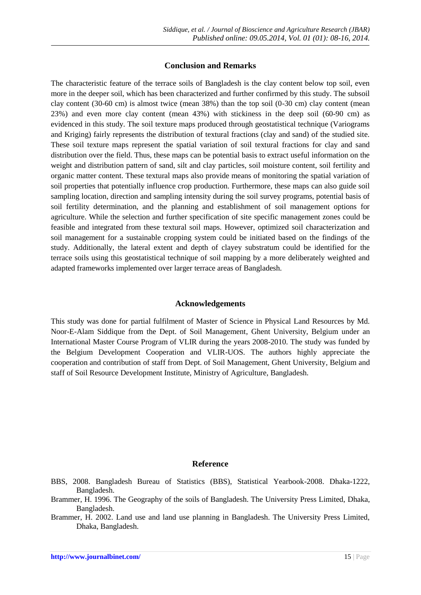## **Conclusion and Remarks**

The characteristic feature of the terrace soils of Bangladesh is the clay content below top soil, even more in the deeper soil, which has been characterized and further confirmed by this study. The subsoil clay content (30-60 cm) is almost twice (mean 38%) than the top soil (0-30 cm) clay content (mean 23%) and even more clay content (mean 43%) with stickiness in the deep soil (60-90 cm) as evidenced in this study. The soil texture maps produced through geostatistical technique (Variograms and Kriging) fairly represents the distribution of textural fractions (clay and sand) of the studied site. These soil texture maps represent the spatial variation of soil textural fractions for clay and sand distribution over the field. Thus, these maps can be potential basis to extract useful information on the weight and distribution pattern of sand, silt and clay particles, soil moisture content, soil fertility and organic matter content. These textural maps also provide means of monitoring the spatial variation of soil properties that potentially influence crop production. Furthermore, these maps can also guide soil sampling location, direction and sampling intensity during the soil survey programs, potential basis of soil fertility determination, and the planning and establishment of soil management options for agriculture. While the selection and further specification of site specific management zones could be feasible and integrated from these textural soil maps. However, optimized soil characterization and soil management for a sustainable cropping system could be initiated based on the findings of the study. Additionally, the lateral extent and depth of clayey substratum could be identified for the terrace soils using this geostatistical technique of soil mapping by a more deliberately weighted and adapted frameworks implemented over larger terrace areas of Bangladesh.

#### **Acknowledgements**

This study was done for partial fulfilment of Master of Science in Physical Land Resources by Md. Noor-E-Alam Siddique from the Dept. of Soil Management, Ghent University, Belgium under an International Master Course Program of VLIR during the years 2008-2010. The study was funded by the Belgium Development Cooperation and VLIR-UOS. The authors highly appreciate the cooperation and contribution of staff from Dept. of Soil Management, Ghent University, Belgium and staff of Soil Resource Development Institute, Ministry of Agriculture, Bangladesh.

#### **Reference**

- Brammer, H. 1996. The Geography of the soils of Bangladesh. The University Press Limited, Dhaka, Bangladesh.
- Brammer, H. 2002. Land use and land use planning in Bangladesh. The University Press Limited, Dhaka, Bangladesh.

BBS, 2008. Bangladesh Bureau of Statistics (BBS), Statistical Yearbook-2008. Dhaka-1222, Bangladesh.